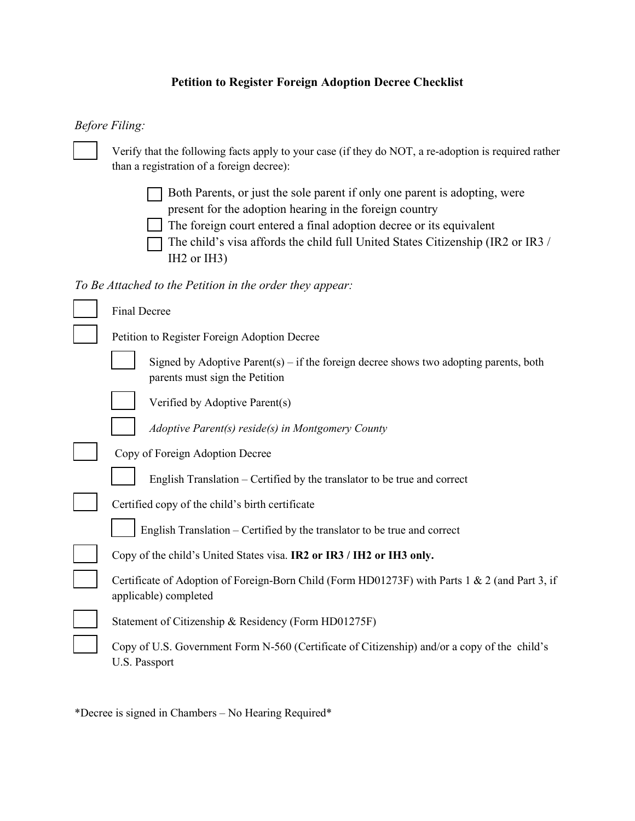# **Petition to Register Foreign Adoption Decree Checklist**

## *Before Filing:*

| Verify that the following facts apply to your case (if they do NOT, a re-adoption is required rather<br>than a registration of a foreign decree):                                                                                                                                                                                       |  |
|-----------------------------------------------------------------------------------------------------------------------------------------------------------------------------------------------------------------------------------------------------------------------------------------------------------------------------------------|--|
| Both Parents, or just the sole parent if only one parent is adopting, were<br>present for the adoption hearing in the foreign country<br>The foreign court entered a final adoption decree or its equivalent<br>The child's visa affords the child full United States Citizenship (IR2 or IR3 /<br>IH <sub>2</sub> or IH <sub>3</sub> ) |  |
| To Be Attached to the Petition in the order they appear:                                                                                                                                                                                                                                                                                |  |
| Final Decree                                                                                                                                                                                                                                                                                                                            |  |
| Petition to Register Foreign Adoption Decree                                                                                                                                                                                                                                                                                            |  |
| Signed by Adoptive Parent(s) – if the foreign decree shows two adopting parents, both<br>parents must sign the Petition                                                                                                                                                                                                                 |  |
| Verified by Adoptive Parent(s)                                                                                                                                                                                                                                                                                                          |  |
| Adoptive Parent(s) reside(s) in Montgomery County                                                                                                                                                                                                                                                                                       |  |
| Copy of Foreign Adoption Decree                                                                                                                                                                                                                                                                                                         |  |
| English Translation – Certified by the translator to be true and correct                                                                                                                                                                                                                                                                |  |
| Certified copy of the child's birth certificate                                                                                                                                                                                                                                                                                         |  |
| English Translation - Certified by the translator to be true and correct                                                                                                                                                                                                                                                                |  |
| Copy of the child's United States visa. IR2 or IR3 / IH2 or IH3 only.                                                                                                                                                                                                                                                                   |  |
| Certificate of Adoption of Foreign-Born Child (Form HD01273F) with Parts 1 & 2 (and Part 3, if<br>applicable) completed                                                                                                                                                                                                                 |  |
| Statement of Citizenship & Residency (Form HD01275F)                                                                                                                                                                                                                                                                                    |  |
| Copy of U.S. Government Form N-560 (Certificate of Citizenship) and/or a copy of the child's<br>U.S. Passport                                                                                                                                                                                                                           |  |

\*Decree is signed in Chambers – No Hearing Required\*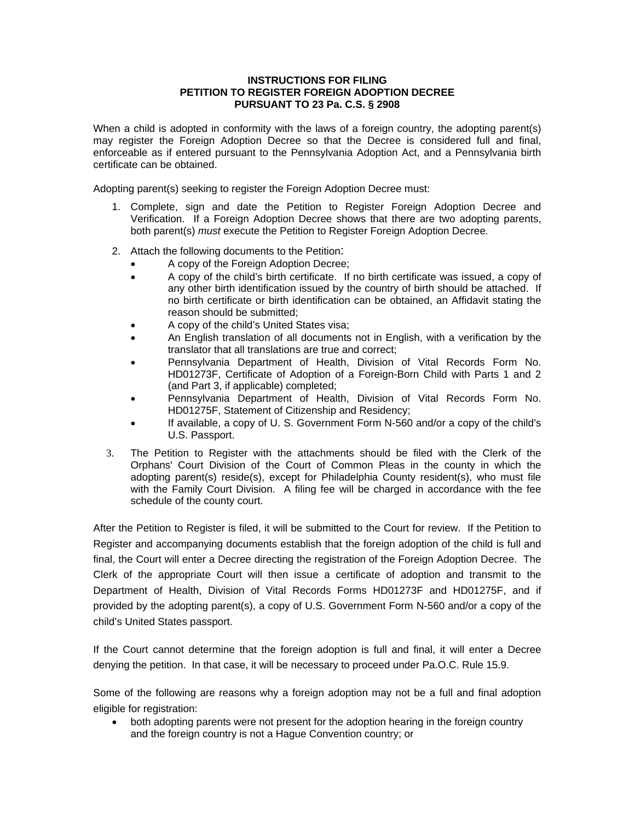#### **INSTRUCTIONS FOR FILING PETITION TO REGISTER FOREIGN ADOPTION DECREE PURSUANT TO 23 Pa. C.S. § 2908**

When a child is adopted in conformity with the laws of a foreign country, the adopting parent(s) may register the Foreign Adoption Decree so that the Decree is considered full and final, enforceable as if entered pursuant to the Pennsylvania Adoption Act, and a Pennsylvania birth certificate can be obtained.

Adopting parent(s) seeking to register the Foreign Adoption Decree must:

- 1. Complete, sign and date the Petition to Register Foreign Adoption Decree and Verification. If a Foreign Adoption Decree shows that there are two adopting parents, both parent(s) *must* execute the Petition to Register Foreign Adoption Decree*.*
- 2. Attach the following documents to the Petition:
	- A copy of the Foreign Adoption Decree;
	- A copy of the child's birth certificate. If no birth certificate was issued, a copy of any other birth identification issued by the country of birth should be attached. If no birth certificate or birth identification can be obtained, an Affidavit stating the reason should be submitted;
	- A copy of the child's United States visa;
	- An English translation of all documents not in English, with a verification by the translator that all translations are true and correct;
	- Pennsylvania Department of Health, Division of Vital Records Form No. HD01273F, Certificate of Adoption of a Foreign-Born Child with Parts 1 and 2 (and Part 3, if applicable) completed;
	- Pennsylvania Department of Health, Division of Vital Records Form No. HD01275F, Statement of Citizenship and Residency;
	- If available, a copy of U. S. Government Form N-560 and/or a copy of the child's U.S. Passport.
- 3. The Petition to Register with the attachments should be filed with the Clerk of the Orphans' Court Division of the Court of Common Pleas in the county in which the adopting parent(s) reside(s), except for Philadelphia County resident(s), who must file with the Family Court Division. A filing fee will be charged in accordance with the fee schedule of the county court.

After the Petition to Register is filed, it will be submitted to the Court for review. If the Petition to Register and accompanying documents establish that the foreign adoption of the child is full and final, the Court will enter a Decree directing the registration of the Foreign Adoption Decree. The Clerk of the appropriate Court will then issue a certificate of adoption and transmit to the Department of Health, Division of Vital Records Forms HD01273F and HD01275F, and if provided by the adopting parent(s), a copy of U.S. Government Form N-560 and/or a copy of the child's United States passport.

If the Court cannot determine that the foreign adoption is full and final, it will enter a Decree denying the petition. In that case, it will be necessary to proceed under Pa.O.C. Rule 15.9.

Some of the following are reasons why a foreign adoption may not be a full and final adoption eligible for registration:

• both adopting parents were not present for the adoption hearing in the foreign country and the foreign country is not a Hague Convention country; or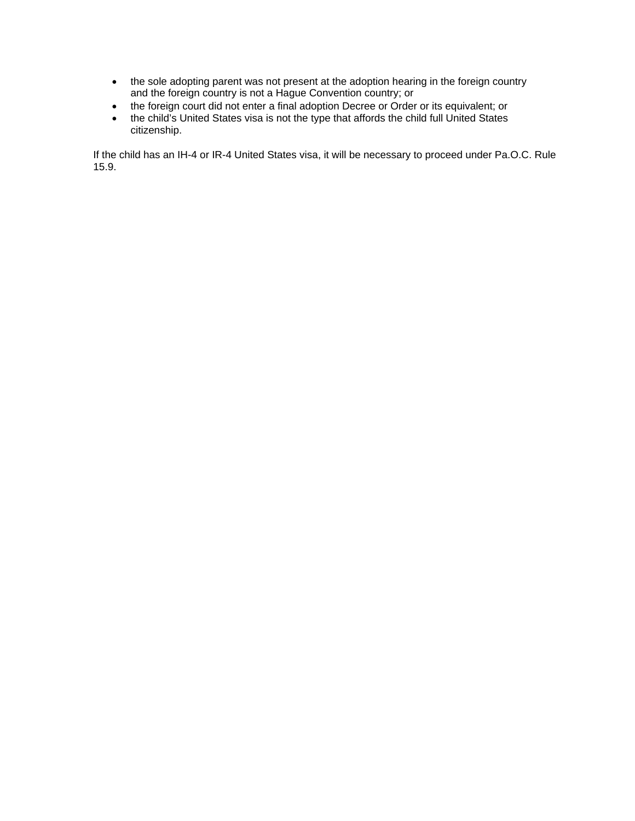- the sole adopting parent was not present at the adoption hearing in the foreign country and the foreign country is not a Hague Convention country; or
- the foreign court did not enter a final adoption Decree or Order or its equivalent; or
- the child's United States visa is not the type that affords the child full United States citizenship.

If the child has an IH-4 or IR-4 United States visa, it will be necessary to proceed under Pa.O.C. Rule 15.9.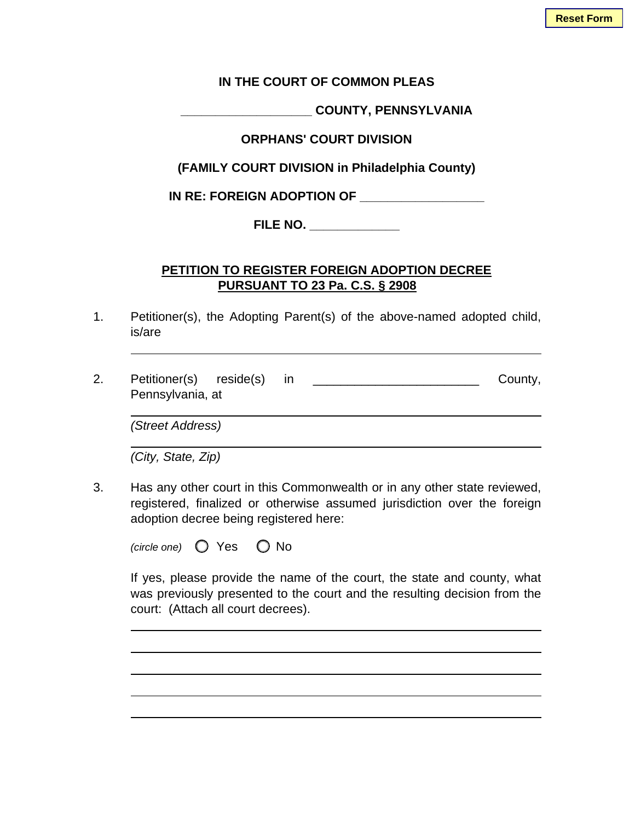#### **IN THE COURT OF COMMON PLEAS**

**\_\_\_\_\_\_\_\_\_\_\_\_\_\_\_\_\_\_\_ COUNTY, PENNSYLVANIA** 

### **ORPHANS' COURT DIVISION**

**(FAMILY COURT DIVISION in Philadelphia County)** 

**IN RE: FOREIGN ADOPTION OF \_\_\_\_\_\_\_\_\_\_\_\_\_\_\_\_\_\_** 

**FILE NO. \_\_\_\_\_\_\_\_\_\_\_\_\_** 

### **PETITION TO REGISTER FOREIGN ADOPTION DECREE PURSUANT TO 23 Pa. C.S. § 2908**

- 1. Petitioner(s), the Adopting Parent(s) of the above-named adopted child, is/are
- 2. Petitioner(s) reside(s) in County, Pennsylvania, at

 *(Street Address)* 

 *(City, State, Zip)* 

3. Has any other court in this Commonwealth or in any other state reviewed, registered, finalized or otherwise assumed jurisdiction over the foreign adoption decree being registered here:

| (circle one) | ∕ ○ Yes | $\bigcirc$ No |
|--------------|---------|---------------|
|--------------|---------|---------------|

 If yes, please provide the name of the court, the state and county, what was previously presented to the court and the resulting decision from the court: (Attach all court decrees).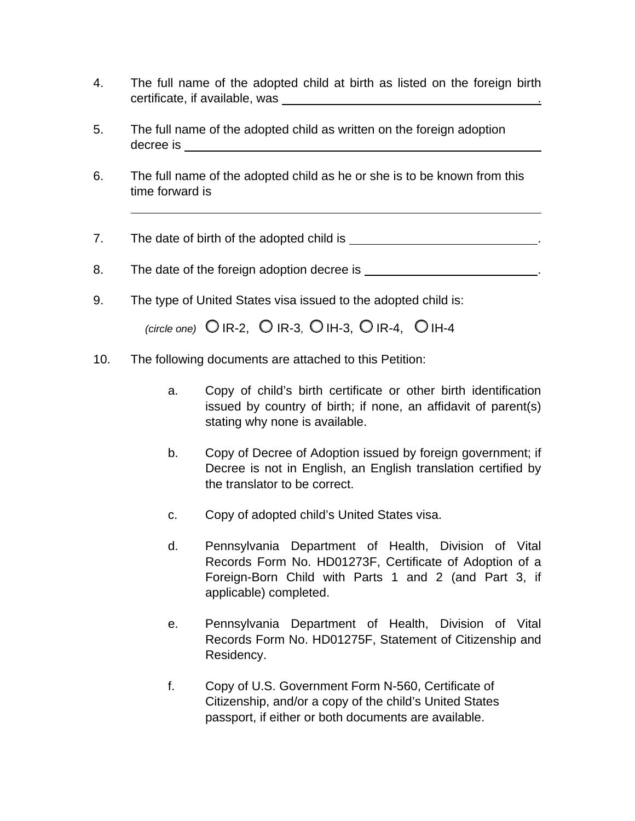- 4. The full name of the adopted child at birth as listed on the foreign birth certificate, if available, was \_\_\_\_.
- 5. The full name of the adopted child as written on the foreign adoption decree is
- 6. The full name of the adopted child as he or she is to be known from this time forward is

7. The date of birth of the adopted child is \_\_\_\_\_\_\_\_\_\_\_\_\_\_\_\_\_\_\_\_\_\_\_\_\_\_\_.

8. The date of the foreign adoption decree is  $\blacksquare$ 

9. The type of United States visa issued to the adopted child is:

 $\sigma$   $($ circle one)  $\circ$  IR-2,  $\circ$  IR-3,  $\circ$  IH-3,  $\circ$  IR-4,  $\circ$  IH-4

- 10.The following documents are attached to this Petition:
	- a. Copy of child's birth certificate or other birth identification issued by country of birth; if none, an affidavit of parent(s) stating why none is available.
	- b. Copy of Decree of Adoption issued by foreign government; if Decree is not in English, an English translation certified by the translator to be correct.
	- c. Copy of adopted child's United States visa.
	- d. Pennsylvania Department of Health, Division of Vital Records Form No. HD01273F, Certificate of Adoption of a Foreign-Born Child with Parts 1 and 2 (and Part 3, if applicable) completed.
	- e. Pennsylvania Department of Health, Division of Vital Records Form No. HD01275F, Statement of Citizenship and Residency.
	- f. Copy of U.S. Government Form N-560, Certificate of Citizenship, and/or a copy of the child's United States passport, if either or both documents are available.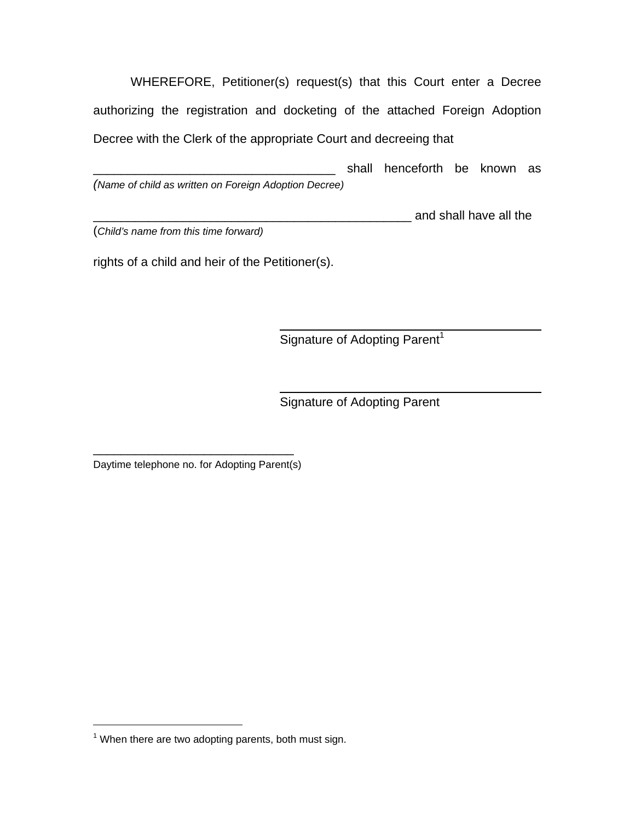WHEREFORE, Petitioner(s) request(s) that this Court enter a Decree authorizing the registration and docketing of the attached Foreign Adoption Decree with the Clerk of the appropriate Court and decreeing that

shall henceforth be known as *(Name of child as written on Foreign Adoption Decree)*

demand shall have all the

(*Child's name from this time forward)* 

rights of a child and heir of the Petitioner(s).

Signature of Adopting Parent<sup>1</sup>

Signature of Adopting Parent

\_\_\_\_\_\_\_\_\_\_\_\_\_\_\_\_\_\_\_\_\_\_\_\_\_\_\_\_\_ Daytime telephone no. for Adopting Parent(s)

 $\overline{a}$ 

 $1$  When there are two adopting parents, both must sign.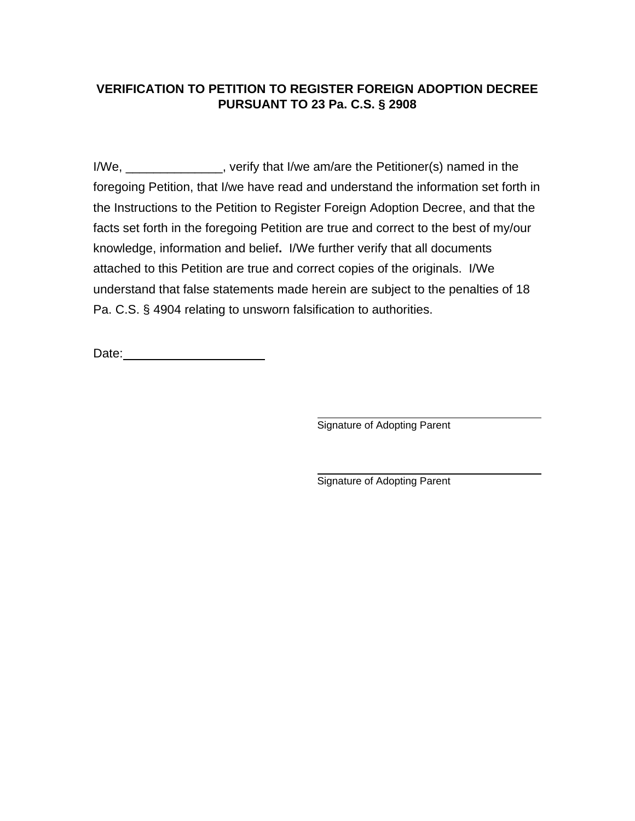# **VERIFICATION TO PETITION TO REGISTER FOREIGN ADOPTION DECREE PURSUANT TO 23 Pa. C.S. § 2908**

I/We, \_\_\_\_\_\_\_\_\_\_\_\_\_\_, verify that I/we am/are the Petitioner(s) named in the foregoing Petition, that I/we have read and understand the information set forth in the Instructions to the Petition to Register Foreign Adoption Decree, and that the facts set forth in the foregoing Petition are true and correct to the best of my/our knowledge, information and belief**.** I/We further verify that all documents attached to this Petition are true and correct copies of the originals. I/We understand that false statements made herein are subject to the penalties of 18 Pa. C.S. § 4904 relating to unsworn falsification to authorities.

Date: \_\_\_\_\_\_\_\_\_\_\_\_\_\_\_\_\_\_\_\_

Signature of Adopting Parent

Signature of Adopting Parent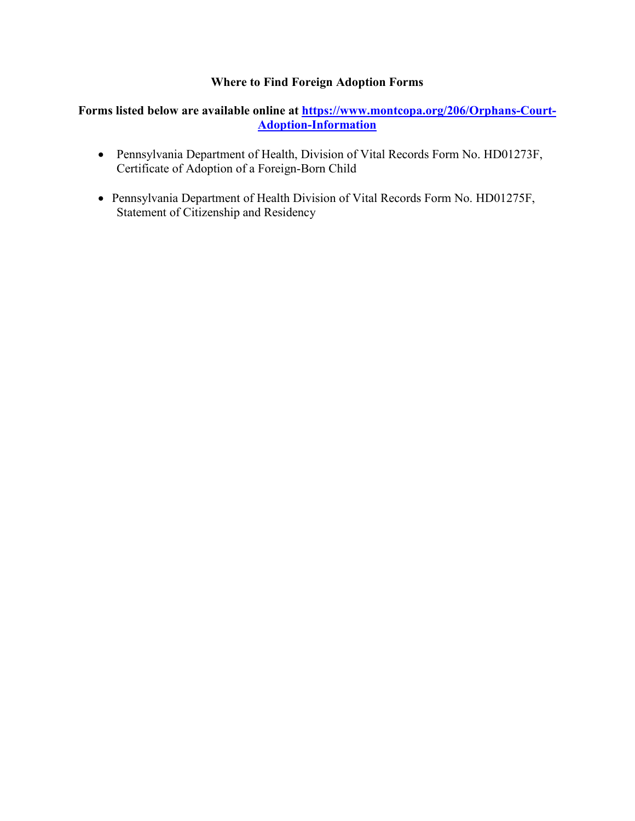#### **Where to Find Foreign Adoption Forms**

#### **Forms listed below are available online at [https://www.montcopa.org/206/Orphans-Court-](https://www.montcopa.org/206/Orphans-Court-Adoption-Information)[Adoption-Information](https://www.montcopa.org/206/Orphans-Court-Adoption-Information)**

- Pennsylvania Department of Health, Division of Vital Records Form No. HD01273F, Certificate of Adoption of a Foreign-Born Child
- Pennsylvania Department of Health Division of Vital Records Form No. HD01275F, Statement of Citizenship and Residency